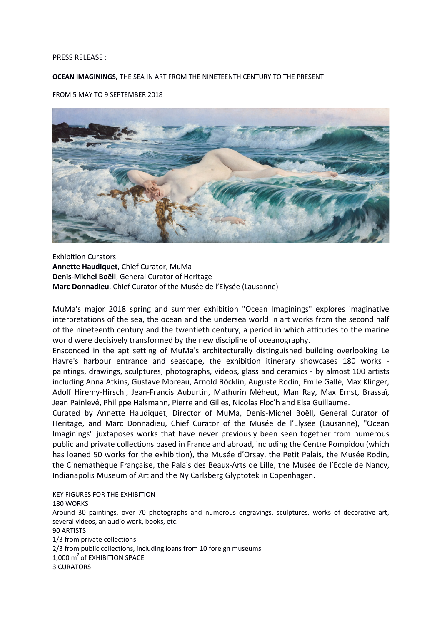#### PRESS RELEASE :

### **OCEAN IMAGININGS,** THE SEA IN ART FROM THE NINETEENTH CENTURY TO THE PRESENT

### FROM 5 MAY TO 9 SEPTEMBER 2018



Exhibition Curators **Annette Haudiquet**, Chief Curator, MuMa **Denis-Michel Boëll**, General Curator of Heritage **Marc Donnadieu**, Chief Curator of the Musée de l'Elysée (Lausanne)

MuMa's major 2018 spring and summer exhibition "Ocean Imaginings" explores imaginative interpretations of the sea, the ocean and the undersea world in art works from the second half of the nineteenth century and the twentieth century, a period in which attitudes to the marine world were decisively transformed by the new discipline of oceanography.

Ensconced in the apt setting of MuMa's architecturally distinguished building overlooking Le Havre's harbour entrance and seascape, the exhibition itinerary showcases 180 works paintings, drawings, sculptures, photographs, videos, glass and ceramics - by almost 100 artists including Anna Atkins, Gustave Moreau, Arnold Böcklin, Auguste Rodin, Emile Gallé, Max Klinger, Adolf Hiremy-Hirschl, Jean-Francis Auburtin, Mathurin Méheut, Man Ray, Max Ernst, Brassaï, Jean Painlevé, Philippe Halsmann, Pierre and Gilles, Nicolas Floc'h and Elsa Guillaume.

Curated by Annette Haudiquet, Director of MuMa, Denis-Michel Boëll, General Curator of Heritage, and Marc Donnadieu, Chief Curator of the Musée de l'Elysée (Lausanne), "Ocean Imaginings" juxtaposes works that have never previously been seen together from numerous public and private collections based in France and abroad, including the Centre Pompidou (which has loaned 50 works for the exhibition), the Musée d'Orsay, the Petit Palais, the Musée Rodin, the Cinémathèque Française, the Palais des Beaux-Arts de Lille, the Musée de l'Ecole de Nancy, Indianapolis Museum of Art and the Ny Carlsberg Glyptotek in Copenhagen.

KEY FIGURES FOR THE EXHIBITION 180 WORKS Around 30 paintings, over 70 photographs and numerous engravings, sculptures, works of decorative art, several videos, an audio work, books, etc. 90 ARTISTS 1/3 from private collections 2/3 from public collections, including loans from 10 foreign museums 1,000 m2 of EXHIBITION SPACE 3 CURATORS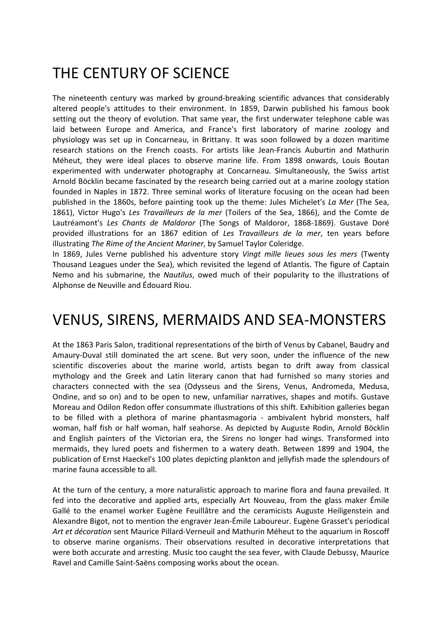# THE CENTURY OF SCIENCE

The nineteenth century was marked by ground-breaking scientific advances that considerably altered people's attitudes to their environment. In 1859, Darwin published his famous book setting out the theory of evolution. That same year, the first underwater telephone cable was laid between Europe and America, and France's first laboratory of marine zoology and physiology was set up in Concarneau, in Brittany. It was soon followed by a dozen maritime research stations on the French coasts. For artists like Jean-Francis Auburtin and Mathurin Méheut, they were ideal places to observe marine life. From 1898 onwards, Louis Boutan experimented with underwater photography at Concarneau. Simultaneously, the Swiss artist Arnold Böcklin became fascinated by the research being carried out at a marine zoology station founded in Naples in 1872. Three seminal works of literature focusing on the ocean had been published in the 1860s, before painting took up the theme: Jules Michelet's *La Mer* (The Sea, 1861), Victor Hugo's *Les Travailleurs de la mer* (Toilers of the Sea, 1866), and the Comte de Lautréamont's *Les Chants de Maldoror* (The Songs of Maldoror, 1868-1869). Gustave Doré provided illustrations for an 1867 edition of *Les Travailleurs de la mer*, ten years before illustrating *The Rime of the Ancient Mariner*, by Samuel Taylor Coleridge.

In 1869, Jules Verne published his adventure story *Vingt mille lieues sous les mers* (Twenty Thousand Leagues under the Sea), which revisited the legend of Atlantis. The figure of Captain Nemo and his submarine, the *Nautilus*, owed much of their popularity to the illustrations of Alphonse de Neuville and Édouard Riou.

## VENUS, SIRENS, MERMAIDS AND SEA-MONSTERS

At the 1863 Paris Salon, traditional representations of the birth of Venus by Cabanel, Baudry and Amaury-Duval still dominated the art scene. But very soon, under the influence of the new scientific discoveries about the marine world, artists began to drift away from classical mythology and the Greek and Latin literary canon that had furnished so many stories and characters connected with the sea (Odysseus and the Sirens, Venus, Andromeda, Medusa, Ondine, and so on) and to be open to new, unfamiliar narratives, shapes and motifs. Gustave Moreau and Odilon Redon offer consummate illustrations of this shift. Exhibition galleries began to be filled with a plethora of marine phantasmagoria - ambivalent hybrid monsters, half woman, half fish or half woman, half seahorse. As depicted by Auguste Rodin, Arnold Böcklin and English painters of the Victorian era, the Sirens no longer had wings. Transformed into mermaids, they lured poets and fishermen to a watery death. Between 1899 and 1904, the publication of Ernst Haeckel's 100 plates depicting plankton and jellyfish made the splendours of marine fauna accessible to all.

At the turn of the century, a more naturalistic approach to marine flora and fauna prevailed. It fed into the decorative and applied arts, especially Art Nouveau, from the glass maker Émile Gallé to the enamel worker Eugène Feuillâtre and the ceramicists Auguste Heiligenstein and Alexandre Bigot, not to mention the engraver Jean-Émile Laboureur. Eugène Grasset's periodical *Art et décoration* sent Maurice Pillard-Verneuil and Mathurin Méheut to the aquarium in Roscoff to observe marine organisms. Their observations resulted in decorative interpretations that were both accurate and arresting. Music too caught the sea fever, with Claude Debussy, Maurice Ravel and Camille Saint-Saëns composing works about the ocean.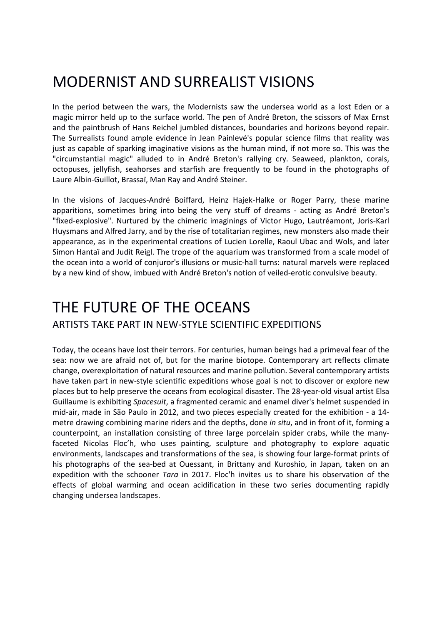## MODERNIST AND SURREALIST VISIONS

In the period between the wars, the Modernists saw the undersea world as a lost Eden or a magic mirror held up to the surface world. The pen of André Breton, the scissors of Max Ernst and the paintbrush of Hans Reichel jumbled distances, boundaries and horizons beyond repair. The Surrealists found ample evidence in Jean Painlevé's popular science films that reality was just as capable of sparking imaginative visions as the human mind, if not more so. This was the "circumstantial magic" alluded to in André Breton's rallying cry. Seaweed, plankton, corals, octopuses, jellyfish, seahorses and starfish are frequently to be found in the photographs of Laure Albin-Guillot, Brassaï, Man Ray and André Steiner.

In the visions of Jacques-André Boiffard, Heinz Hajek-Halke or Roger Parry, these marine apparitions, sometimes bring into being the very stuff of dreams - acting as André Breton's "fixed-explosive". Nurtured by the chimeric imaginings of Victor Hugo, Lautréamont, Joris-Karl Huysmans and Alfred Jarry, and by the rise of totalitarian regimes, new monsters also made their appearance, as in the experimental creations of Lucien Lorelle, Raoul Ubac and Wols, and later Simon Hantaï and Judit Reigl. The trope of the aquarium was transformed from a scale model of the ocean into a world of conjuror's illusions or music-hall turns: natural marvels were replaced by a new kind of show, imbued with André Breton's notion of veiled-erotic convulsive beauty.

### THE FUTURE OF THE OCEANS ARTISTS TAKE PART IN NEW-STYLE SCIENTIFIC EXPEDITIONS

Today, the oceans have lost their terrors. For centuries, human beings had a primeval fear of the sea: now we are afraid not of, but for the marine biotope. Contemporary art reflects climate change, overexploitation of natural resources and marine pollution. Several contemporary artists have taken part in new-style scientific expeditions whose goal is not to discover or explore new places but to help preserve the oceans from ecological disaster. The 28-year-old visual artist Elsa Guillaume is exhibiting *Spacesuit*, a fragmented ceramic and enamel diver's helmet suspended in mid-air, made in São Paulo in 2012, and two pieces especially created for the exhibition - a 14 metre drawing combining marine riders and the depths, done *in situ*, and in front of it, forming a counterpoint, an installation consisting of three large porcelain spider crabs, while the manyfaceted Nicolas Floc'h, who uses painting, sculpture and photography to explore aquatic environments, landscapes and transformations of the sea, is showing four large-format prints of his photographs of the sea-bed at Ouessant, in Brittany and Kuroshio, in Japan, taken on an expedition with the schooner *Tara* in 2017. Floc'h invites us to share his observation of the effects of global warming and ocean acidification in these two series documenting rapidly changing undersea landscapes.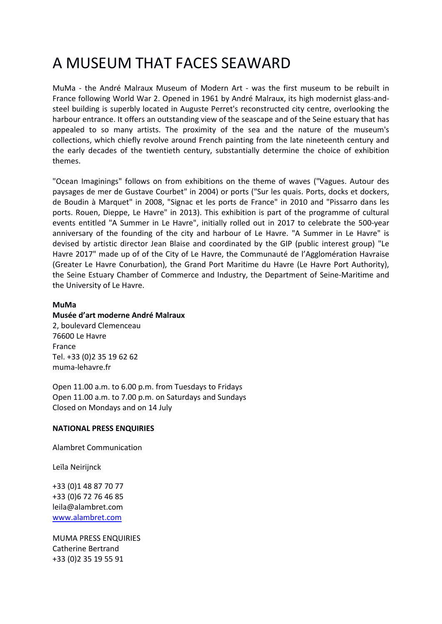## A MUSEUM THAT FACES SEAWARD

MuMa - the André Malraux Museum of Modern Art - was the first museum to be rebuilt in France following World War 2. Opened in 1961 by André Malraux, its high modernist glass-andsteel building is superbly located in Auguste Perret's reconstructed city centre, overlooking the harbour entrance. It offers an outstanding view of the seascape and of the Seine estuary that has appealed to so many artists. The proximity of the sea and the nature of the museum's collections, which chiefly revolve around French painting from the late nineteenth century and the early decades of the twentieth century, substantially determine the choice of exhibition themes.

"Ocean Imaginings" follows on from exhibitions on the theme of waves ("Vagues. Autour des paysages de mer de Gustave Courbet" in 2004) or ports ("Sur les quais. Ports, docks et dockers, de Boudin à Marquet" in 2008, "Signac et les ports de France" in 2010 and "Pissarro dans les ports. Rouen, Dieppe, Le Havre" in 2013). This exhibition is part of the programme of cultural events entitled "A Summer in Le Havre", initially rolled out in 2017 to celebrate the 500-year anniversary of the founding of the city and harbour of Le Havre. "A Summer in Le Havre" is devised by artistic director Jean Blaise and coordinated by the GIP (public interest group) "Le Havre 2017" made up of of the City of Le Havre, the Communauté de l'Agglomération Havraise (Greater Le Havre Conurbation), the Grand Port Maritime du Havre (Le Havre Port Authority), the Seine Estuary Chamber of Commerce and Industry, the Department of Seine-Maritime and the University of Le Havre.

### **MuMa**

### **Musée d'art moderne André Malraux**

2, boulevard Clemenceau 76600 Le Havre France Tel. +33 (0)2 35 19 62 62 muma-lehavre.fr

Open 11.00 a.m. to 6.00 p.m. from Tuesdays to Fridays Open 11.00 a.m. to 7.00 p.m. on Saturdays and Sundays Closed on Mondays and on 14 July

### **NATIONAL PRESS ENQUIRIES**

Alambret Communication

Leïla Neiriinck

+33 (0)1 48 87 70 77 +33 (0)6 72 76 46 85 leila@alambret.com [www.alambret.com](http://www.alambret.com/)

MUMA PRESS ENQUIRIES Catherine Bertrand +33 (0)2 35 19 55 91